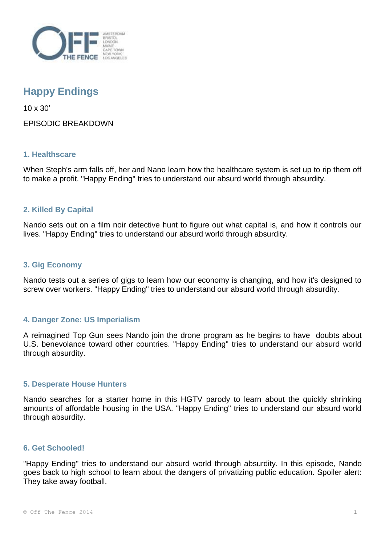

# **Happy Endings**

10 x 30'

EPISODIC BREAKDOWN

# **1. Healthscare**

When Steph's arm falls off, her and Nano learn how the healthcare system is set up to rip them off to make a profit. "Happy Ending" tries to understand our absurd world through absurdity.

# **2. Killed By Capital**

Nando sets out on a film noir detective hunt to figure out what capital is, and how it controls our lives. "Happy Ending" tries to understand our absurd world through absurdity.

## **3. Gig Economy**

Nando tests out a series of gigs to learn how our economy is changing, and how it's designed to screw over workers. "Happy Ending" tries to understand our absurd world through absurdity.

# **4. Danger Zone: US Imperialism**

A reimagined Top Gun sees Nando join the drone program as he begins to have doubts about U.S. benevolance toward other countries. "Happy Ending" tries to understand our absurd world through absurdity.

#### **5. Desperate House Hunters**

Nando searches for a starter home in this HGTV parody to learn about the quickly shrinking amounts of affordable housing in the USA. "Happy Ending" tries to understand our absurd world through absurdity.

#### **6. Get Schooled!**

"Happy Ending" tries to understand our absurd world through absurdity. In this episode, Nando goes back to high school to learn about the dangers of privatizing public education. Spoiler alert: They take away football.